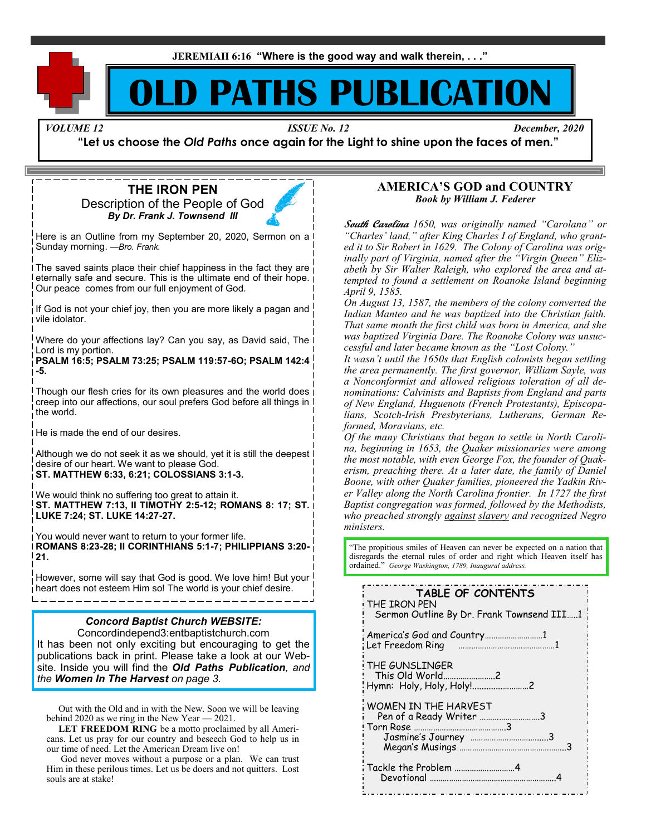**JEREMIAH 6:16 "Where is the good way and walk therein, . . ."**

# **PATHS PUBLICAT**

*VOLUME 12 ISSUE No. 12 December, 2020*

**"Let us choose the** *Old Paths* **once again for the Light to shine upon the faces of men."**

**THE IRON PEN** Description of the People of God *By Dr. Frank J. Townsend III*

Here is an Outline from my September 20, 2020, Sermon on a Sunday morning. *—Bro. Frank.*

The saved saints place their chief happiness in the fact they are eternally safe and secure. This is the ultimate end of their hope. Our peace comes from our full enjoyment of God.

If God is not your chief joy, then you are more likely a pagan and vile idolator.

Where do your affections lay? Can you say, as David said, The Lord is my portion.

**PSALM 16:5; PSALM 73:25; PSALM 119:57-6O; PSALM 142:4 -5.**

Though our flesh cries for its own pleasures and the world does creep into our affections, our soul prefers God before all things in the world.

He is made the end of our desires.

Although we do not seek it as we should, yet it is still the deepest desire of our heart. We want to please God. **ST. MATTHEW 6:33, 6:21; COLOSSIANS 3:1-3.** 

We would think no suffering too great to attain it. **ST. MATTHEW 7:13, II TIMOTHY 2:5-12; ROMANS 8: 17; ST. LUKE 7:24; ST. LUKE 14:27-27.**

You would never want to return to your former life. **ROMANS 8:23-28; II CORINTHIANS 5:1-7; PHILIPPIANS 3:20- 21.**

However, some will say that God is good. We love him! But your heart does not esteem Him so! The world is your chief desire.

# *Concord Baptist Church WEBSITE:*

Concordindepend3:entbaptistchurch.com It has been not only exciting but encouraging to get the publications back in print. Please take a look at our Website. Inside you will find the *Old Paths Publication, and the Women In The Harvest on page 3.*

 Out with the Old and in with the New. Soon we will be leaving behind 2020 as we ring in the New Year — 2021.

 **LET FREEDOM RING** be a motto proclaimed by all Americans. Let us pray for our country and beseech God to help us in our time of need. Let the American Dream live on!

 God never moves without a purpose or a plan. We can trust Him in these perilous times. Let us be doers and not quitters. Lost souls are at stake!

## **AMERICA'S GOD and COUNTRY** *Book by William J. Federer*

**South Carolina** *1650, was originally named "Carolana" or "Charles' land," after King Charles I of England, who granted it to Sir Robert in 1629. The Colony of Carolina was originally part of Virginia, named after the "Virgin Queen" Elizabeth by Sir Walter Raleigh, who explored the area and attempted to found a settlement on Roanoke Island beginning April 9, 1585.*

*On August 13, 1587, the members of the colony converted the Indian Manteo and he was baptized into the Christian faith. That same month the first child was born in America, and she was baptized Virginia Dare. The Roanoke Colony was unsuccessful and later became known as the "Lost Colony."*

*It wasn't until the 1650s that English colonists began settling the area permanently. The first governor, William Sayle, was a Nonconformist and allowed religious toleration of all denominations: Calvinists and Baptists from England and parts of New England, Huguenots (French Protestants), Episcopalians, Scotch-Irish Presbyterians, Lutherans, German Reformed, Moravians, etc.*

*Of the many Christians that began to settle in North Carolina, beginning in 1653, the Quaker missionaries were among the most notable, with even George Fox, the founder of Quakerism, preaching there. At a later date, the family of Daniel Boone, with other Quaker families, pioneered the Yadkin River Valley along the North Carolina frontier. In 1727 the first Baptist congregation was formed, followed by the Methodists, who preached strongly against slavery and recognized Negro ministers.*

"The propitious smiles of Heaven can never be expected on a nation that disregards the eternal rules of order and right which Heaven itself has ordained." *George Washington, 1789, Inaugural address.*

| TABLE OF CONTENTS<br>THE IRON PEN<br>Sermon Outline By Dr. Frank Townsend III1 |
|--------------------------------------------------------------------------------|
| America's God and Country1                                                     |
| THE GUNSLINGER<br>This Old World2<br>Hymn: Holy, Holy, Holy!2                  |
| <b>WOMEN IN THE HARVEST</b><br>Pen of a Ready Writer 3                         |
| Tackle the Problem 4                                                           |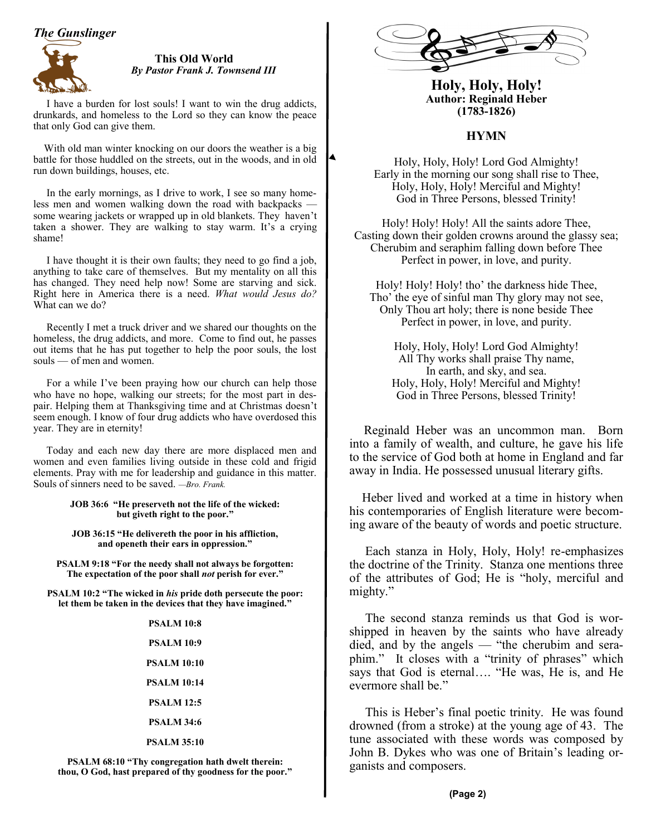*The Gunslinger*



 **This Old World**  *By Pastor Frank J. Townsend III*

 I have a burden for lost souls! I want to win the drug addicts, drunkards, and homeless to the Lord so they can know the peace that only God can give them.

 With old man winter knocking on our doors the weather is a big battle for those huddled on the streets, out in the woods, and in old run down buildings, houses, etc.

 In the early mornings, as I drive to work, I see so many homeless men and women walking down the road with backpacks some wearing jackets or wrapped up in old blankets. They haven't taken a shower. They are walking to stay warm. It's a crying shame!

 I have thought it is their own faults; they need to go find a job, anything to take care of themselves. But my mentality on all this has changed. They need help now! Some are starving and sick. Right here in America there is a need. *What would Jesus do?*  What can we do?

 Recently I met a truck driver and we shared our thoughts on the homeless, the drug addicts, and more. Come to find out, he passes out items that he has put together to help the poor souls, the lost souls — of men and women.

 For a while I've been praying how our church can help those who have no hope, walking our streets; for the most part in despair. Helping them at Thanksgiving time and at Christmas doesn't seem enough. I know of four drug addicts who have overdosed this year. They are in eternity!

 Today and each new day there are more displaced men and women and even families living outside in these cold and frigid elements. Pray with me for leadership and guidance in this matter. Souls of sinners need to be saved. *—Bro. Frank.*

> **JOB 36:6 "He preserveth not the life of the wicked: but giveth right to the poor."**

**JOB 36:15 "He delivereth the poor in his affliction, and openeth their ears in oppression."**

**PSALM 9:18 "For the needy shall not always be forgotten: The expectation of the poor shall** *not* **perish for ever."**

**PSALM 10:2 "The wicked in** *his* **pride doth persecute the poor: let them be taken in the devices that they have imagined."**

**PSALM 10:8** 

**PSALM 10:9**

**PSALM 10:10**

**PSALM 10:14**

**PSALM 12:5**

**PSALM 34:6**

**PSALM 35:10**

**PSALM 68:10 "Thy congregation hath dwelt therein: thou, O God, hast prepared of thy goodness for the poor."**



**Holy, Holy, Holy! Author: Reginald Heber (1783-1826)**

# **HYMN**

Holy, Holy, Holy! Lord God Almighty! Early in the morning our song shall rise to Thee, Holy, Holy, Holy! Merciful and Mighty! God in Three Persons, blessed Trinity!

Holy! Holy! Holy! All the saints adore Thee, Casting down their golden crowns around the glassy sea; Cherubim and seraphim falling down before Thee Perfect in power, in love, and purity.

Holy! Holy! Holy! tho' the darkness hide Thee, Tho' the eye of sinful man Thy glory may not see, Only Thou art holy; there is none beside Thee Perfect in power, in love, and purity.

Holy, Holy, Holy! Lord God Almighty! All Thy works shall praise Thy name, In earth, and sky, and sea. Holy, Holy, Holy! Merciful and Mighty! God in Three Persons, blessed Trinity!

Reginald Heber was an uncommon man. Born into a family of wealth, and culture, he gave his life to the service of God both at home in England and far away in India. He possessed unusual literary gifts.

 Heber lived and worked at a time in history when his contemporaries of English literature were becoming aware of the beauty of words and poetic structure.

 Each stanza in Holy, Holy, Holy! re-emphasizes the doctrine of the Trinity. Stanza one mentions three of the attributes of God; He is "holy, merciful and mighty."

 The second stanza reminds us that God is worshipped in heaven by the saints who have already died, and by the angels — "the cherubim and seraphim." It closes with a "trinity of phrases" which says that God is eternal…. "He was, He is, and He evermore shall be."

 This is Heber's final poetic trinity. He was found drowned (from a stroke) at the young age of 43. The tune associated with these words was composed by John B. Dykes who was one of Britain's leading organists and composers.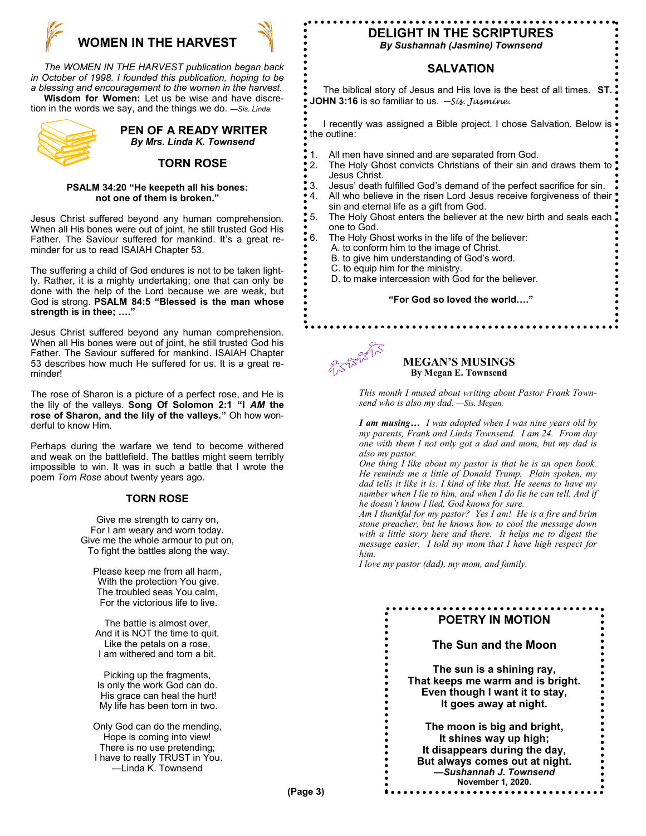

 *The WOMEN IN THE HARVEST publication began back in October of 1998. I founded this publication, hoping to be a blessing and encouragement to the women in the harvest.*  **Wisdom for Women:** Let us be wise and have discretion in the words we say, and the things we do. *—Sis. Linda.*



## **PEN OF A READY WRITER** *By Mrs. Linda K. Townsend*

## **TORN ROSE**

#### **PSALM 34:20 "He keepeth all his bones: not one of them is broken."**

Jesus Christ suffered beyond any human comprehension. When all His bones were out of joint, he still trusted God His Father. The Saviour suffered for mankind. It's a great reminder for us to read ISAIAH Chapter 53.

The suffering a child of God endures is not to be taken lightly. Rather, it is a mighty undertaking; one that can only be done with the help of the Lord because we are weak, but God is strong. **PSALM 84:5 "Blessed is the man whose strength is in thee; …."**

Jesus Christ suffered beyond any human comprehension. When all His bones were out of joint, he still trusted God his Father. The Saviour suffered for mankind. ISAIAH Chapter 53 describes how much He suffered for us. It is a great reminder!

The rose of Sharon is a picture of a perfect rose, and He is the lily of the valleys. **Song Of Solomon 2:1 "I** *AM* **the rose of Sharon, and the lily of the valleys."** Oh how wonderful to know Him.

Perhaps during the warfare we tend to become withered and weak on the battlefield. The battles might seem terribly impossible to win. It was in such a battle that I wrote the poem *Torn Rose* about twenty years ago.

## **TORN ROSE**

Give me strength to carry on, For I am weary and worn today. Give me the whole armour to put on, To fight the battles along the way.

Please keep me from all harm, With the protection You give. The troubled seas You calm, For the victorious life to live.

The battle is almost over, And it is NOT the time to quit. Like the petals on a rose, I am withered and torn a bit.

Picking up the fragments, Is only the work God can do. His grace can heal the hurt! My life has been torn in two.

Only God can do the mending, Hope is coming into view! There is no use pretending; I have to really TRUST in You. —Linda K. Townsend

# **DELIGHT IN THE SCRIPTURES** *By Sushannah (Jasmine) Townsend*

# **SALVATION**

 The biblical story of Jesus and His love is the best of all times. **ST. JOHN 3:16** is so familiar to us. *—Sis. Jasmine.*

I recently was assigned a Bible project. I chose Salvation. Below is  $\ddot{\bullet}$ the outline:

- 1. All men have sinned and are separated from God.
- 2. The Holy Ghost convicts Christians of their sin and draws them to: Jesus Christ.
- 3. Jesus' death fulfilled God's demand of the perfect sacrifice for sin.<br>24. All who believe in the risen Lord Jesus receive forgiveness of their
- All who believe in the risen Lord Jesus receive forgiveness of their ' sin and eternal life as a gift from God.
- 5. The Holy Ghost enters the believer at the new birth and seals each. one to God.
- 6. The Holy Ghost works in the life of the believer:
	- A. to conform him to the image of Christ.
	- B. to give him understanding of God's word.
	- C. to equip him for the ministry.
	- D. to make intercession with God for the believer.

## **"For God so loved the world…."**

## **MEGAN'S MUSINGS By Megan E. Townsend**

*This month I mused about writing about Pastor Frank Townsend who is also my dad. —Sis. Megan.*

*I am musing… I was adopted when I was nine years old by my parents, Frank and Linda Townsend. I am 24. From day one with them I not only got a dad and mom, but my dad is also my pastor.*

*One thing I like about my pastor is that he is an open book. He reminds me a little of Donald Trump. Plain spoken, my dad tells it like it is. I kind of like that. He seems to have my number when I lie to him, and when I do lie he can tell. And if he doesn't know I lied, God knows for sure.*

*Am I thankful for my pastor? Yes I am! He is a fire and brim stone preacher, but he knows how to cool the message down with a little story here and there. It helps me to digest the message easier. I told my mom that I have high respect for him.*

*I love my pastor (dad), my mom, and family.*